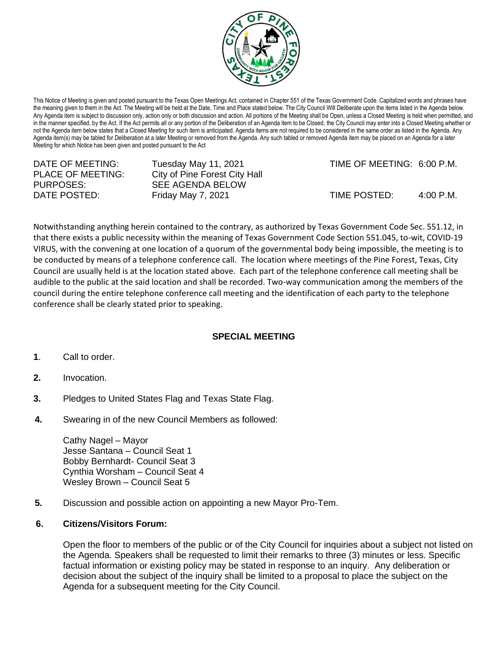

This Notice of Meeting is given and posted pursuant to the Texas Open Meetings Act, contained in Chapter 551 of the Texas Government Code. Capitalized words and phrases have the meaning given to them in the Act. The Meeting will be held at the Date, Time and Place stated below. The City Council Will Deliberate upon the items listed in the Agenda below. Any Agenda item is subject to discussion only, action only or both discussion and action. All portions of the Meeting shall be Open, unless a Closed Meeting is held when permitted, and in the manner specified, by the Act. If the Act permits all or any portion of the Deliberation of an Agenda item to be Closed, the City Council may enter into a Closed Meeting whether or not the Agenda item below states that a Closed Meeting for such item is anticipated. Agenda items are not required to be considered in the same order as listed in the Agenda. Any Agenda item(s) may be tabled for Deliberation at a later Meeting or removed from the Agenda. Any such tabled or removed Agenda item may be placed on an Agenda for a later Meeting for which Notice has been given and posted pursuant to the Act

| DATE OF MEETING:         | Tuesday May 11, 2021          | TIME OF MEETING: 6:00 P.M. |                     |
|--------------------------|-------------------------------|----------------------------|---------------------|
| <b>PLACE OF MEETING:</b> | City of Pine Forest City Hall |                            |                     |
| PURPOSES:                | SEE AGENDA BELOW              |                            |                     |
| DATE POSTED:             | Friday May 7, 2021            | TIME POSTED:               | $4:00 \text{ P.M.}$ |

Notwithstanding anything herein contained to the contrary, as authorized by Texas Government Code Sec. 551.12, in that there exists a public necessity within the meaning of Texas Government Code Section 551.045, to-wit, COVID-19 VIRUS, with the convening at one location of a quorum of the governmental body being impossible, the meeting is to be conducted by means of a telephone conference call. The location where meetings of the Pine Forest, Texas, City Council are usually held is at the location stated above. Each part of the telephone conference call meeting shall be audible to the public at the said location and shall be recorded. Two-way communication among the members of the council during the entire telephone conference call meeting and the identification of each party to the telephone conference shall be clearly stated prior to speaking.

## **SPECIAL MEETING**

- **1**. Call to order.
- **2.** Invocation.
- **3.** Pledges to United States Flag and Texas State Flag.
- **4.** Swearing in of the new Council Members as followed:

 Cathy Nagel – Mayor Jesse Santana – Council Seat 1 Bobby Bernhardt- Council Seat 3 Cynthia Worsham – Council Seat 4 Wesley Brown – Council Seat 5

**5.** Discussion and possible action on appointing a new Mayor Pro-Tem.

## **6. Citizens/Visitors Forum:**

Open the floor to members of the public or of the City Council for inquiries about a subject not listed on the Agenda. Speakers shall be requested to limit their remarks to three (3) minutes or less. Specific factual information or existing policy may be stated in response to an inquiry. Any deliberation or decision about the subject of the inquiry shall be limited to a proposal to place the subject on the Agenda for a subsequent meeting for the City Council.